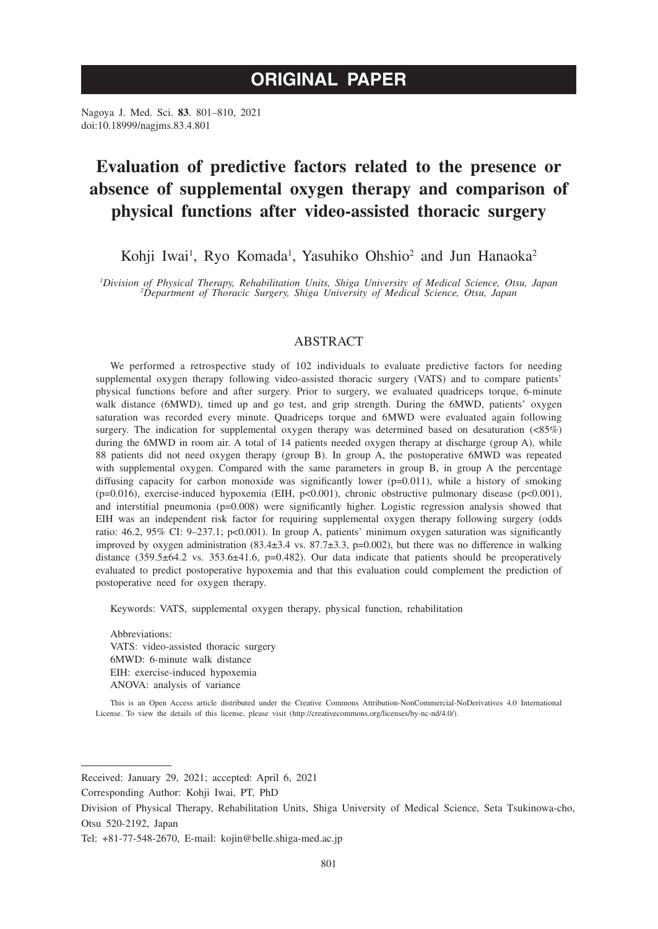# **ORIGINAL PAPER**

Nagoya J. Med. Sci. **83**. 801–810, 2021 doi:10.18999/nagjms.83.4.801

# **Evaluation of predictive factors related to the presence or absence of supplemental oxygen therapy and comparison of physical functions after video-assisted thoracic surgery**

Kohji Iwai<sup>1</sup>, Ryo Komada<sup>1</sup>, Yasuhiko Ohshio<sup>2</sup> and Jun Hanaoka<sup>2</sup>

*1 Division of Physical Therapy, Rehabilitation Units, Shiga University of Medical Science, Otsu, Japan <sup>2</sup> Department of Thoracic Surgery, Shiga University of Medical Science, Otsu, Japan*

# **ABSTRACT**

We performed a retrospective study of 102 individuals to evaluate predictive factors for needing supplemental oxygen therapy following video-assisted thoracic surgery (VATS) and to compare patients' physical functions before and after surgery. Prior to surgery, we evaluated quadriceps torque, 6-minute walk distance (6MWD), timed up and go test, and grip strength. During the 6MWD, patients' oxygen saturation was recorded every minute. Quadriceps torque and 6MWD were evaluated again following surgery. The indication for supplemental oxygen therapy was determined based on desaturation (<85%) during the 6MWD in room air. A total of 14 patients needed oxygen therapy at discharge (group A), while 88 patients did not need oxygen therapy (group B). In group A, the postoperative 6MWD was repeated with supplemental oxygen. Compared with the same parameters in group B, in group A the percentage diffusing capacity for carbon monoxide was significantly lower (p=0.011), while a history of smoking (p=0.016), exercise-induced hypoxemia (EIH, p<0.001), chronic obstructive pulmonary disease (p<0.001), and interstitial pneumonia (p=0.008) were significantly higher. Logistic regression analysis showed that EIH was an independent risk factor for requiring supplemental oxygen therapy following surgery (odds ratio: 46.2, 95% CI: 9–237.1; p<0.001). In group A, patients' minimum oxygen saturation was significantly improved by oxygen administration  $(83.4\pm3.4 \text{ vs. } 87.7\pm3.3, \text{ p=0.002})$ , but there was no difference in walking distance  $(359.5\pm64.2 \text{ vs. } 353.6\pm41.6, \text{ p}=0.482)$ . Our data indicate that patients should be preoperatively evaluated to predict postoperative hypoxemia and that this evaluation could complement the prediction of postoperative need for oxygen therapy.

Keywords: VATS, supplemental oxygen therapy, physical function, rehabilitation

Abbreviations: VATS: video-assisted thoracic surgery 6MWD: 6-minute walk distance EIH: exercise-induced hypoxemia ANOVA: analysis of variance

This is an Open Access article distributed under the Creative Commons Attribution-NonCommercial-NoDerivatives 4.0 International License. To view the details of this license, please visit (http://creativecommons.org/licenses/by-nc-nd/4.0/).

Received: January 29, 2021; accepted: April 6, 2021

Corresponding Author: Kohji Iwai, PT, PhD

Division of Physical Therapy, Rehabilitation Units, Shiga University of Medical Science, Seta Tsukinowa-cho, Otsu 520-2192, Japan

Tel: +81-77-548-2670, E-mail: kojin@belle.shiga-med.ac.jp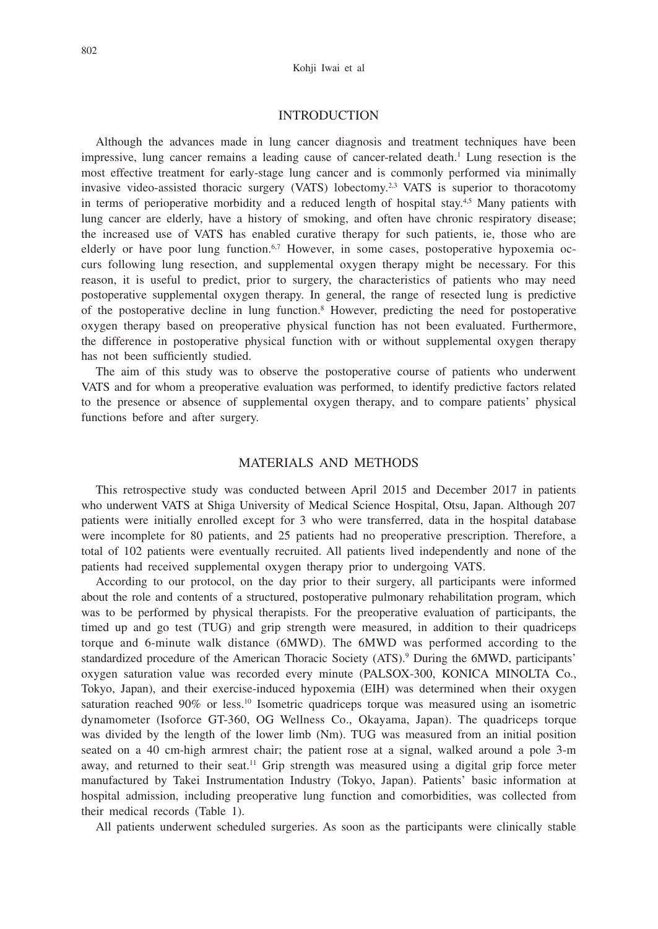#### Kohji Iwai et al

## INTRODUCTION

Although the advances made in lung cancer diagnosis and treatment techniques have been impressive, lung cancer remains a leading cause of cancer-related death.<sup>1</sup> Lung resection is the most effective treatment for early-stage lung cancer and is commonly performed via minimally invasive video-assisted thoracic surgery (VATS) lobectomy.<sup>2,3</sup> VATS is superior to thoracotomy in terms of perioperative morbidity and a reduced length of hospital stay. $4.5$  Many patients with lung cancer are elderly, have a history of smoking, and often have chronic respiratory disease; the increased use of VATS has enabled curative therapy for such patients, ie, those who are elderly or have poor lung function.<sup>6,7</sup> However, in some cases, postoperative hypoxemia occurs following lung resection, and supplemental oxygen therapy might be necessary. For this reason, it is useful to predict, prior to surgery, the characteristics of patients who may need postoperative supplemental oxygen therapy. In general, the range of resected lung is predictive of the postoperative decline in lung function.8 However, predicting the need for postoperative oxygen therapy based on preoperative physical function has not been evaluated. Furthermore, the difference in postoperative physical function with or without supplemental oxygen therapy has not been sufficiently studied.

The aim of this study was to observe the postoperative course of patients who underwent VATS and for whom a preoperative evaluation was performed, to identify predictive factors related to the presence or absence of supplemental oxygen therapy, and to compare patients' physical functions before and after surgery.

## MATERIALS AND METHODS

This retrospective study was conducted between April 2015 and December 2017 in patients who underwent VATS at Shiga University of Medical Science Hospital, Otsu, Japan. Although 207 patients were initially enrolled except for 3 who were transferred, data in the hospital database were incomplete for 80 patients, and 25 patients had no preoperative prescription. Therefore, a total of 102 patients were eventually recruited. All patients lived independently and none of the patients had received supplemental oxygen therapy prior to undergoing VATS.

According to our protocol, on the day prior to their surgery, all participants were informed about the role and contents of a structured, postoperative pulmonary rehabilitation program, which was to be performed by physical therapists. For the preoperative evaluation of participants, the timed up and go test (TUG) and grip strength were measured, in addition to their quadriceps torque and 6-minute walk distance (6MWD). The 6MWD was performed according to the standardized procedure of the American Thoracic Society (ATS).9 During the 6MWD, participants' oxygen saturation value was recorded every minute (PALSOX-300, KONICA MINOLTA Co., Tokyo, Japan), and their exercise-induced hypoxemia (EIH) was determined when their oxygen saturation reached 90% or less.<sup>10</sup> Isometric quadriceps torque was measured using an isometric dynamometer (Isoforce GT-360, OG Wellness Co., Okayama, Japan). The quadriceps torque was divided by the length of the lower limb (Nm). TUG was measured from an initial position seated on a 40 cm-high armrest chair; the patient rose at a signal, walked around a pole 3-m away, and returned to their seat.<sup>11</sup> Grip strength was measured using a digital grip force meter manufactured by Takei Instrumentation Industry (Tokyo, Japan). Patients' basic information at hospital admission, including preoperative lung function and comorbidities, was collected from their medical records (Table 1).

All patients underwent scheduled surgeries. As soon as the participants were clinically stable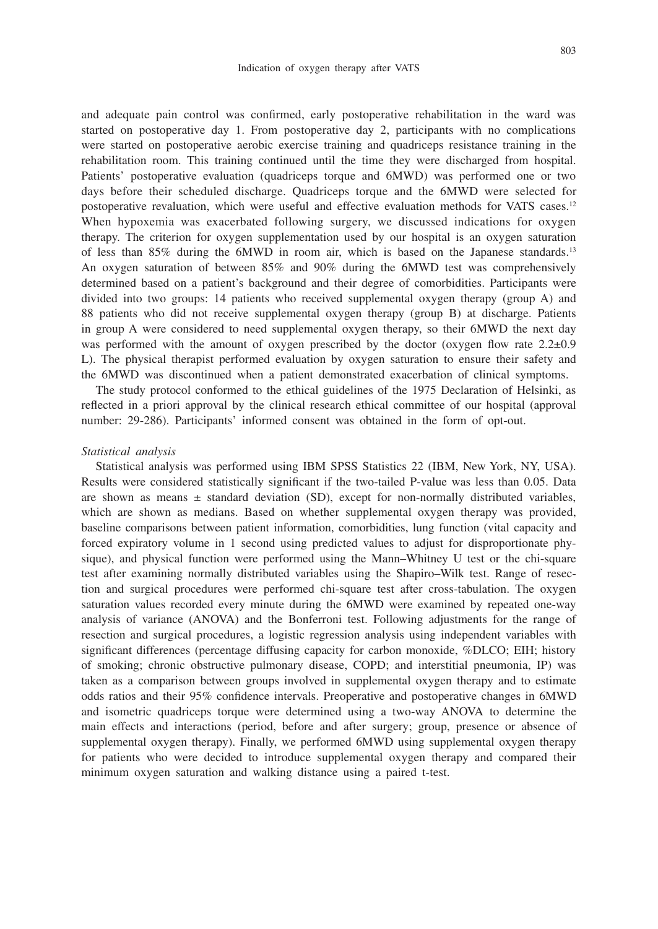and adequate pain control was confirmed, early postoperative rehabilitation in the ward was started on postoperative day 1. From postoperative day 2, participants with no complications were started on postoperative aerobic exercise training and quadriceps resistance training in the rehabilitation room. This training continued until the time they were discharged from hospital. Patients' postoperative evaluation (quadriceps torque and 6MWD) was performed one or two days before their scheduled discharge. Quadriceps torque and the 6MWD were selected for postoperative revaluation, which were useful and effective evaluation methods for VATS cases.12 When hypoxemia was exacerbated following surgery, we discussed indications for oxygen therapy. The criterion for oxygen supplementation used by our hospital is an oxygen saturation of less than 85% during the 6MWD in room air, which is based on the Japanese standards.13 An oxygen saturation of between 85% and 90% during the 6MWD test was comprehensively determined based on a patient's background and their degree of comorbidities. Participants were divided into two groups: 14 patients who received supplemental oxygen therapy (group A) and 88 patients who did not receive supplemental oxygen therapy (group B) at discharge. Patients in group A were considered to need supplemental oxygen therapy, so their 6MWD the next day was performed with the amount of oxygen prescribed by the doctor (oxygen flow rate  $2.2\pm0.9$ L). The physical therapist performed evaluation by oxygen saturation to ensure their safety and the 6MWD was discontinued when a patient demonstrated exacerbation of clinical symptoms.

The study protocol conformed to the ethical guidelines of the 1975 Declaration of Helsinki, as reflected in a priori approval by the clinical research ethical committee of our hospital (approval number: 29-286). Participants' informed consent was obtained in the form of opt-out.

#### *Statistical analysis*

Statistical analysis was performed using IBM SPSS Statistics 22 (IBM, New York, NY, USA). Results were considered statistically significant if the two-tailed P-value was less than 0.05. Data are shown as means  $\pm$  standard deviation (SD), except for non-normally distributed variables, which are shown as medians. Based on whether supplemental oxygen therapy was provided, baseline comparisons between patient information, comorbidities, lung function (vital capacity and forced expiratory volume in 1 second using predicted values to adjust for disproportionate physique), and physical function were performed using the Mann–Whitney U test or the chi-square test after examining normally distributed variables using the Shapiro–Wilk test. Range of resection and surgical procedures were performed chi-square test after cross-tabulation. The oxygen saturation values recorded every minute during the 6MWD were examined by repeated one-way analysis of variance (ANOVA) and the Bonferroni test. Following adjustments for the range of resection and surgical procedures, a logistic regression analysis using independent variables with significant differences (percentage diffusing capacity for carbon monoxide, %DLCO; EIH; history of smoking; chronic obstructive pulmonary disease, COPD; and interstitial pneumonia, IP) was taken as a comparison between groups involved in supplemental oxygen therapy and to estimate odds ratios and their 95% confidence intervals. Preoperative and postoperative changes in 6MWD and isometric quadriceps torque were determined using a two-way ANOVA to determine the main effects and interactions (period, before and after surgery; group, presence or absence of supplemental oxygen therapy). Finally, we performed 6MWD using supplemental oxygen therapy for patients who were decided to introduce supplemental oxygen therapy and compared their minimum oxygen saturation and walking distance using a paired t-test.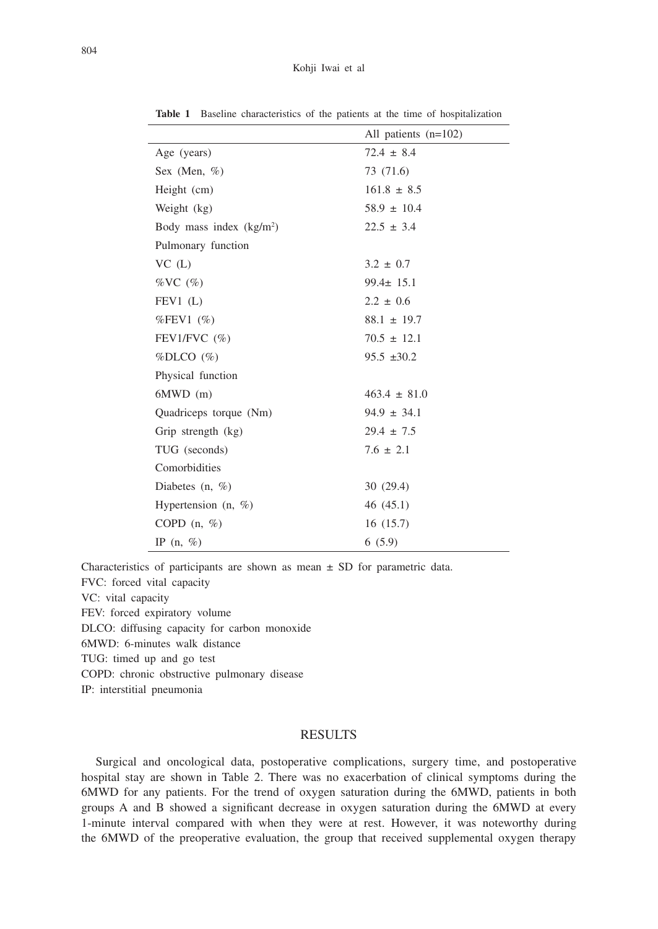|                           | All patients $(n=102)$ |
|---------------------------|------------------------|
| Age (years)               | $72.4 \pm 8.4$         |
| Sex (Men, $\%$ )          | 73 (71.6)              |
| Height (cm)               | $161.8 \pm 8.5$        |
| Weight (kg)               | $58.9 \pm 10.4$        |
| Body mass index $(kg/m2)$ | $22.5 \pm 3.4$         |
| Pulmonary function        |                        |
| $VC$ $(L)$                | $3.2 \pm 0.7$          |
| $\%VC$ (%)                | $99.4 \pm 15.1$        |
| FEV1(L)                   | $2.2 \pm 0.6$          |
| $%$ FEV1 $(\%)$           | $88.1 \pm 19.7$        |
| FEV1/FVC $(\% )$          | $70.5 \pm 12.1$        |
| $\%$ DLCO $(\%)$          | $95.5 \pm 30.2$        |
| Physical function         |                        |
| $6MWD$ (m)                | $463.4 \pm 81.0$       |
| Quadriceps torque (Nm)    | $94.9 \pm 34.1$        |
| Grip strength (kg)        | $29.4 \pm 7.5$         |
| TUG (seconds)             | $7.6 \pm 2.1$          |
| Comorbidities             |                        |
| Diabetes $(n, \%)$        | 30(29.4)               |
| Hypertension $(n, \%)$    | 46(45.1)               |
| COPD $(n, \%)$            | 16(15.7)               |
| IP $(n, \%)$              | 6(5.9)                 |

**Table 1** Baseline characteristics of the patients at the time of hospitalization

Characteristics of participants are shown as mean  $\pm$  SD for parametric data.

FVC: forced vital capacity VC: vital capacity FEV: forced expiratory volume DLCO: diffusing capacity for carbon monoxide 6MWD: 6-minutes walk distance TUG: timed up and go test

COPD: chronic obstructive pulmonary disease

IP: interstitial pneumonia

### RESULTS

Surgical and oncological data, postoperative complications, surgery time, and postoperative hospital stay are shown in Table 2. There was no exacerbation of clinical symptoms during the 6MWD for any patients. For the trend of oxygen saturation during the 6MWD, patients in both groups A and B showed a significant decrease in oxygen saturation during the 6MWD at every 1-minute interval compared with when they were at rest. However, it was noteworthy during the 6MWD of the preoperative evaluation, the group that received supplemental oxygen therapy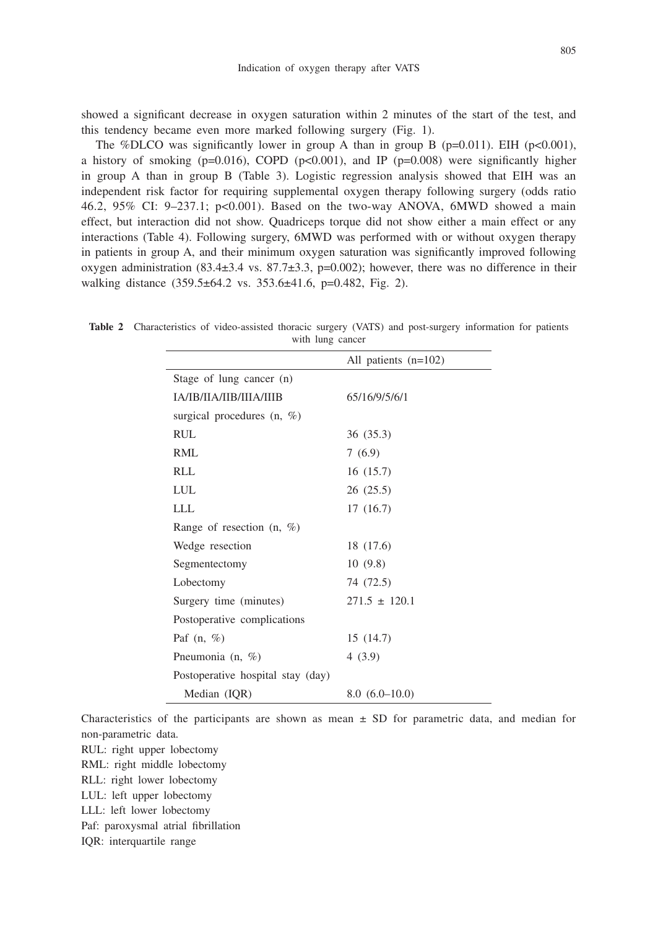showed a significant decrease in oxygen saturation within 2 minutes of the start of the test, and this tendency became even more marked following surgery (Fig. 1).

The %DLCO was significantly lower in group A than in group B ( $p=0.011$ ). EIH ( $p<0.001$ ), a history of smoking ( $p=0.016$ ), COPD ( $p<0.001$ ), and IP ( $p=0.008$ ) were significantly higher in group A than in group B (Table 3). Logistic regression analysis showed that EIH was an independent risk factor for requiring supplemental oxygen therapy following surgery (odds ratio 46.2, 95% CI: 9–237.1; p<0.001). Based on the two-way ANOVA, 6MWD showed a main effect, but interaction did not show. Quadriceps torque did not show either a main effect or any interactions (Table 4). Following surgery, 6MWD was performed with or without oxygen therapy in patients in group A, and their minimum oxygen saturation was significantly improved following oxygen administration  $(83.4\pm3.4 \text{ vs. } 87.7\pm3.3, \text{ p}$ =0.002); however, there was no difference in their walking distance (359.5±64.2 vs. 353.6±41.6, p=0.482, Fig. 2).

|                                   | All patients $(n=102)$ |
|-----------------------------------|------------------------|
| Stage of lung cancer (n)          |                        |
| <b>JA/IB/IJA/IIB/IIJA/IIIB</b>    | 65/16/9/5/6/1          |
| surgical procedures $(n, \%)$     |                        |
| RUL.                              | 36 (35.3)              |
| RML                               | 7(6.9)                 |
| RLL                               | 16(15.7)               |
| LUL                               | 26(25.5)               |
| LLL                               | 17(16.7)               |
| Range of resection $(n, \%)$      |                        |
| Wedge resection                   | 18 (17.6)              |
| Segmentectomy                     | 10(9.8)                |
| Lobectomy                         | 74 (72.5)              |
| Surgery time (minutes)            | $271.5 \pm 120.1$      |
| Postoperative complications       |                        |
| Paf $(n, \%)$                     | 15(14.7)               |
| Pneumonia (n, %)                  | 4(3.9)                 |
| Postoperative hospital stay (day) |                        |
| Median (IQR)                      | $8.0(6.0-10.0)$        |
|                                   |                        |

**Table 2** Characteristics of video-assisted thoracic surgery (VATS) and post-surgery information for patients with lung cancer

Characteristics of the participants are shown as mean  $\pm$  SD for parametric data, and median for non-parametric data.

RUL: right upper lobectomy

RML: right middle lobectomy

RLL: right lower lobectomy

LUL: left upper lobectomy

LLL: left lower lobectomy

Paf: paroxysmal atrial fibrillation

IQR: interquartile range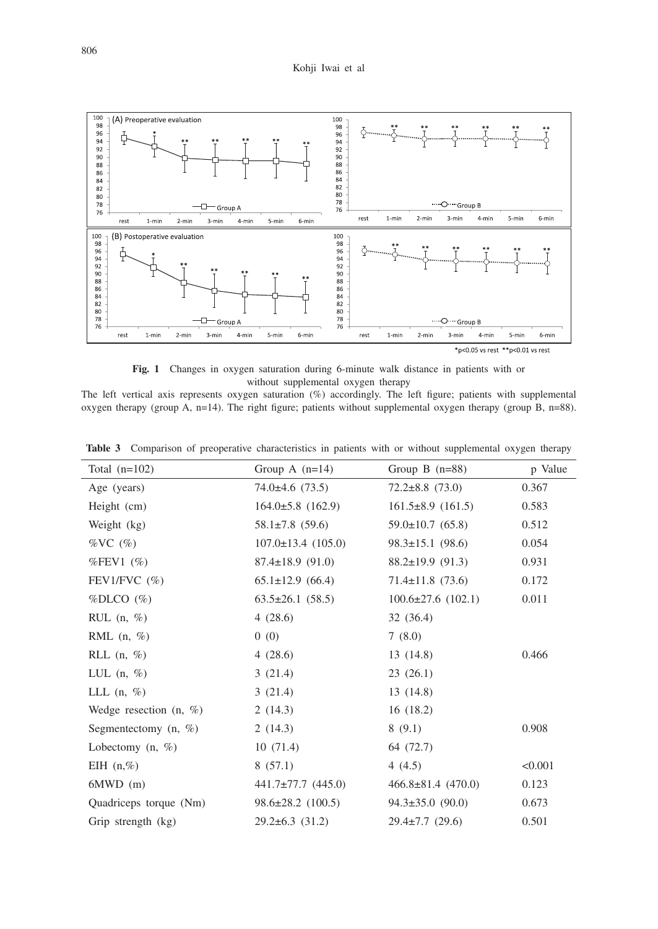

**Fig. 1** Changes in oxygen saturation during 6-minute walk distance in patients with or without supplemental oxygen therapy

The left vertical axis represents oxygen saturation (%) accordingly. The left figure; patients with supplemental oxygen therapy (group A, n=14). The right figure; patients without supplemental oxygen therapy (group B, n=88).

| Total $(n=102)$           | Group A $(n=14)$         | Group B $(n=88)$         | p Value |
|---------------------------|--------------------------|--------------------------|---------|
| Age (years)               | $74.0\pm4.6$ (73.5)      | $72.2 \pm 8.8$ (73.0)    | 0.367   |
| Height (cm)               | $164.0\pm5.8$ (162.9)    | $161.5\pm8.9$ (161.5)    | 0.583   |
| Weight (kg)               | $58.1 \pm 7.8$ (59.6)    | $59.0 \pm 10.7$ (65.8)   | 0.512   |
| $\%$ VC $(\%)$            | $107.0 \pm 13.4$ (105.0) | $98.3 \pm 15.1$ (98.6)   | 0.054   |
| %FEV1 $(\%)$              | $87.4 \pm 18.9$ (91.0)   | $88.2 \pm 19.9$ (91.3)   | 0.931   |
| FEV1/FVC $(\% )$          | $65.1 \pm 12.9$ (66.4)   | $71.4 \pm 11.8$ (73.6)   | 0.172   |
| $% DLCO$ $%$              | $63.5 \pm 26.1$ (58.5)   | $100.6 \pm 27.6$ (102.1) | 0.011   |
| RUL $(n, \%)$             | 4(28.6)                  | 32(36.4)                 |         |
| RML $(n, \%)$             | 0(0)                     | 7(8.0)                   |         |
| RLL $(n, \%)$             | 4(28.6)                  | 13(14.8)                 | 0.466   |
| LUL $(n, \%)$             | 3(21.4)                  | 23(26.1)                 |         |
| LLL $(n, \%)$             | 3(21.4)                  | 13(14.8)                 |         |
| Wedge resection $(n, \%)$ | 2(14.3)                  | 16(18.2)                 |         |
| Segmentectomy $(n, \%)$   | 2(14.3)                  | 8(9.1)                   | 0.908   |
| Lobectomy $(n, \%)$       | 10(71.4)                 | 64 (72.7)                |         |
| EIH $(n, \%)$             | 8(57.1)                  | 4 $(4.5)$                | < 0.001 |
| $6MWD$ (m)                | $441.7 \pm 77.7$ (445.0) | $466.8 \pm 81.4$ (470.0) | 0.123   |
| Quadriceps torque (Nm)    | $98.6 \pm 28.2$ (100.5)  | $94.3 \pm 35.0$ (90.0)   | 0.673   |
| Grip strength (kg)        | $29.2 \pm 6.3$ (31.2)    | $29.4 \pm 7.7$ (29.6)    | 0.501   |

**Table 3** Comparison of preoperative characteristics in patients with or without supplemental oxygen therapy

Ļ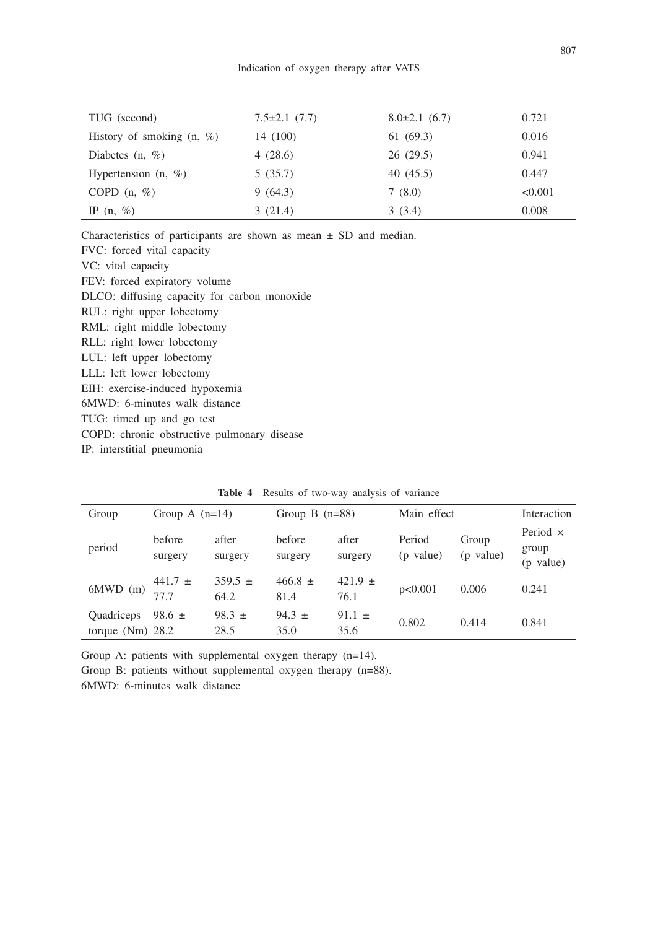| TUG (second)                 | $7.5 \pm 2.1$ (7.7) | $8.0\pm2.1$ (6.7) | 0.721   |
|------------------------------|---------------------|-------------------|---------|
| History of smoking $(n, \%)$ | 14 (100)            | 61(69.3)          | 0.016   |
| Diabetes $(n, \%)$           | 4(28.6)             | 26(29.5)          | 0.941   |
| Hypertension $(n, \%)$       | 5(35.7)             | 40(45.5)          | 0.447   |
| COPD $(n, \%)$               | 9(64.3)             | 7(8.0)            | < 0.001 |
| IP $(n, \%)$                 | 3(21.4)             | 3(3.4)            | 0.008   |

Characteristics of participants are shown as mean  $\pm$  SD and median. FVC: forced vital capacity VC: vital capacity

FEV: forced expiratory volume DLCO: diffusing capacity for carbon monoxide RUL: right upper lobectomy RML: right middle lobectomy RLL: right lower lobectomy LUL: left upper lobectomy LLL: left lower lobectomy EIH: exercise-induced hypoxemia 6MWD: 6-minutes walk distance TUG: timed up and go test COPD: chronic obstructive pulmonary disease IP: interstitial pneumonia

| Group                            | Group A $(n=14)$   |                     | Group B $(n=88)$    |                     | Main effect         |                    | Interaction                           |
|----------------------------------|--------------------|---------------------|---------------------|---------------------|---------------------|--------------------|---------------------------------------|
| period                           | before<br>surgery  | after<br>surgery    | before<br>surgery   | after<br>surgery    | Period<br>(p value) | Group<br>(p value) | Period $\times$<br>group<br>(p value) |
| $6MWD$ (m)                       | 441.7 $\pm$<br>777 | $359.5 \pm$<br>64.2 | $466.8 \pm$<br>81.4 | 421.9 $\pm$<br>76.1 | p<0.001             | 0.006              | 0.241                                 |
| Quadriceps<br>torque $(Nm)$ 28.2 | 98.6 $\pm$         | $98.3 \pm$<br>28.5  | 94.3 $\pm$<br>35.0  | 91.1 $\pm$<br>35.6  | 0.802               | 0.414              | 0.841                                 |

**Table 4** Results of two-way analysis of variance

Group A: patients with supplemental oxygen therapy (n=14).

Group B: patients without supplemental oxygen therapy (n=88).

6MWD: 6-minutes walk distance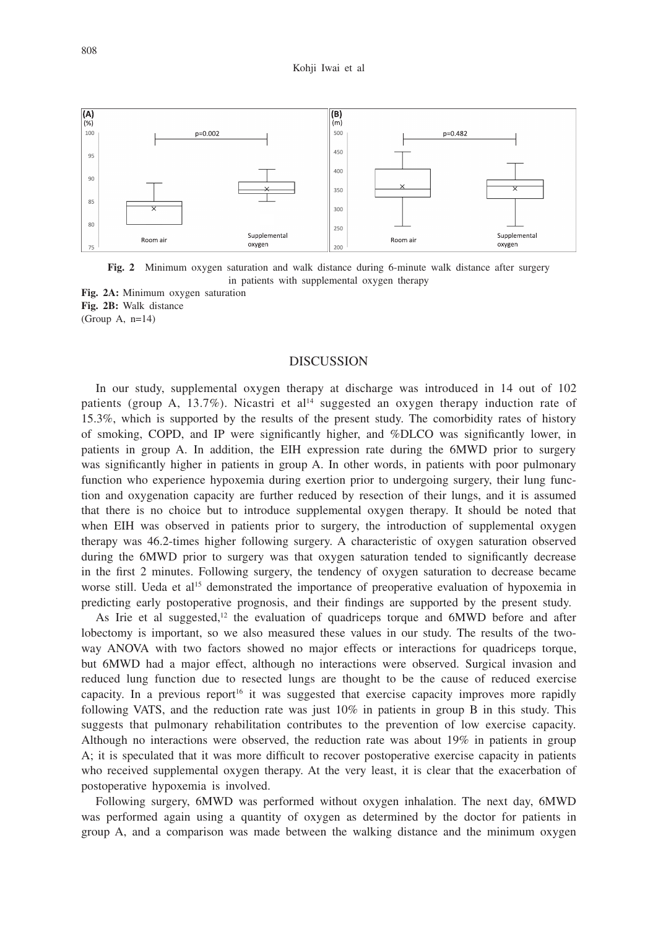

**Fig. 2** Minimum oxygen saturation and walk distance during 6-minute walk distance after surgery in patients with supplemental oxygen therapy

**Fig. 2A:** Minimum oxygen saturation **Fig. 2B:** Walk distance (Group A, n=14)

### DISCUSSION

In our study, supplemental oxygen therapy at discharge was introduced in 14 out of 102 patients (group A,  $13.7\%$ ). Nicastri et al<sup>14</sup> suggested an oxygen therapy induction rate of 15.3%, which is supported by the results of the present study. The comorbidity rates of history of smoking, COPD, and IP were significantly higher, and %DLCO was significantly lower, in patients in group A. In addition, the EIH expression rate during the 6MWD prior to surgery was significantly higher in patients in group A. In other words, in patients with poor pulmonary function who experience hypoxemia during exertion prior to undergoing surgery, their lung function and oxygenation capacity are further reduced by resection of their lungs, and it is assumed that there is no choice but to introduce supplemental oxygen therapy. It should be noted that when EIH was observed in patients prior to surgery, the introduction of supplemental oxygen therapy was 46.2-times higher following surgery. A characteristic of oxygen saturation observed during the 6MWD prior to surgery was that oxygen saturation tended to significantly decrease in the first 2 minutes. Following surgery, the tendency of oxygen saturation to decrease became worse still. Ueda et al<sup>15</sup> demonstrated the importance of preoperative evaluation of hypoxemia in predicting early postoperative prognosis, and their findings are supported by the present study.

As Irie et al suggested, $12$  the evaluation of quadriceps torque and 6MWD before and after lobectomy is important, so we also measured these values in our study. The results of the twoway ANOVA with two factors showed no major effects or interactions for quadriceps torque, but 6MWD had a major effect, although no interactions were observed. Surgical invasion and reduced lung function due to resected lungs are thought to be the cause of reduced exercise capacity. In a previous report<sup>16</sup> it was suggested that exercise capacity improves more rapidly following VATS, and the reduction rate was just 10% in patients in group B in this study. This suggests that pulmonary rehabilitation contributes to the prevention of low exercise capacity. Although no interactions were observed, the reduction rate was about 19% in patients in group A; it is speculated that it was more difficult to recover postoperative exercise capacity in patients who received supplemental oxygen therapy. At the very least, it is clear that the exacerbation of postoperative hypoxemia is involved.

Following surgery, 6MWD was performed without oxygen inhalation. The next day, 6MWD was performed again using a quantity of oxygen as determined by the doctor for patients in group A, and a comparison was made between the walking distance and the minimum oxygen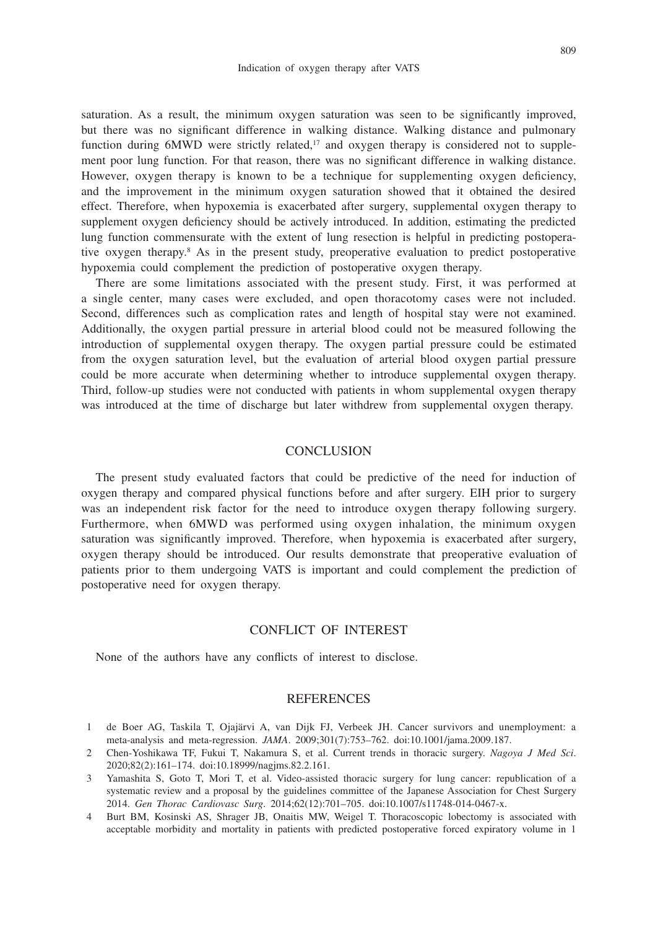saturation. As a result, the minimum oxygen saturation was seen to be significantly improved, but there was no significant difference in walking distance. Walking distance and pulmonary function during  $6MWD$  were strictly related,<sup>17</sup> and oxygen therapy is considered not to supplement poor lung function. For that reason, there was no significant difference in walking distance. However, oxygen therapy is known to be a technique for supplementing oxygen deficiency, and the improvement in the minimum oxygen saturation showed that it obtained the desired effect. Therefore, when hypoxemia is exacerbated after surgery, supplemental oxygen therapy to supplement oxygen deficiency should be actively introduced. In addition, estimating the predicted lung function commensurate with the extent of lung resection is helpful in predicting postoperative oxygen therapy.8 As in the present study, preoperative evaluation to predict postoperative hypoxemia could complement the prediction of postoperative oxygen therapy.

There are some limitations associated with the present study. First, it was performed at a single center, many cases were excluded, and open thoracotomy cases were not included. Second, differences such as complication rates and length of hospital stay were not examined. Additionally, the oxygen partial pressure in arterial blood could not be measured following the introduction of supplemental oxygen therapy. The oxygen partial pressure could be estimated from the oxygen saturation level, but the evaluation of arterial blood oxygen partial pressure could be more accurate when determining whether to introduce supplemental oxygen therapy. Third, follow-up studies were not conducted with patients in whom supplemental oxygen therapy was introduced at the time of discharge but later withdrew from supplemental oxygen therapy.

## **CONCLUSION**

The present study evaluated factors that could be predictive of the need for induction of oxygen therapy and compared physical functions before and after surgery. EIH prior to surgery was an independent risk factor for the need to introduce oxygen therapy following surgery. Furthermore, when 6MWD was performed using oxygen inhalation, the minimum oxygen saturation was significantly improved. Therefore, when hypoxemia is exacerbated after surgery, oxygen therapy should be introduced. Our results demonstrate that preoperative evaluation of patients prior to them undergoing VATS is important and could complement the prediction of postoperative need for oxygen therapy.

## CONFLICT OF INTEREST

None of the authors have any conflicts of interest to disclose.

# REFERENCES

- 1 de Boer AG, Taskila T, Ojajärvi A, van Dijk FJ, Verbeek JH. Cancer survivors and unemployment: a meta-analysis and meta-regression. *JAMA*. 2009;301(7):753–762. doi:10.1001/jama.2009.187.
- 2 Chen-Yoshikawa TF, Fukui T, Nakamura S, et al. Current trends in thoracic surgery. *Nagoya J Med Sci*. 2020;82(2):161–174. doi:10.18999/nagjms.82.2.161.
- 3 Yamashita S, Goto T, Mori T, et al. Video-assisted thoracic surgery for lung cancer: republication of a systematic review and a proposal by the guidelines committee of the Japanese Association for Chest Surgery 2014. *Gen Thorac Cardiovasc Surg*. 2014;62(12):701–705. doi:10.1007/s11748-014-0467-x.
- 4 Burt BM, Kosinski AS, Shrager JB, Onaitis MW, Weigel T. Thoracoscopic lobectomy is associated with acceptable morbidity and mortality in patients with predicted postoperative forced expiratory volume in 1